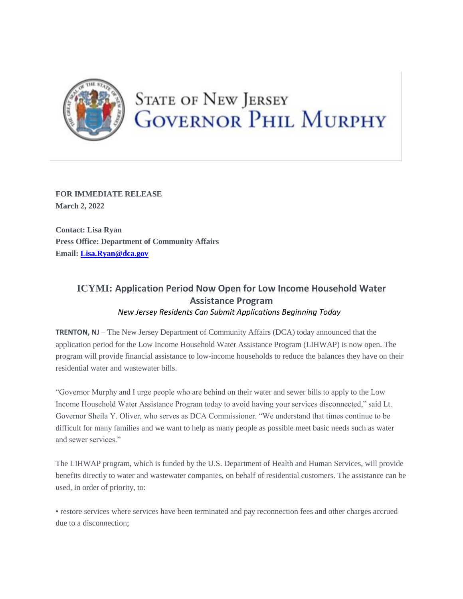

## **STATE OF NEW JERSEY GOVERNOR PHIL MURPHY**

**FOR IMMEDIATE RELEASE March 2, 2022**

**Contact: Lisa Ryan Press Office: Department of Community Affairs Email: [Lisa.Ryan@dca.gov](mailto:Lisa.Ryan@dca.gov)**

## **ICYMI: Application Period Now Open for Low Income Household Water Assistance Program** *New Jersey Residents Can Submit Applications Beginning Today*

**TRENTON, NJ** – The New Jersey Department of Community Affairs (DCA) today announced that the application period for the Low Income Household Water Assistance Program (LIHWAP) is now open. The program will provide financial assistance to low-income households to reduce the balances they have on their residential water and wastewater bills.

"Governor Murphy and I urge people who are behind on their water and sewer bills to apply to the Low Income Household Water Assistance Program today to avoid having your services disconnected," said Lt. Governor Sheila Y. Oliver, who serves as DCA Commissioner. "We understand that times continue to be difficult for many families and we want to help as many people as possible meet basic needs such as water and sewer services."

The LIHWAP program, which is funded by the U.S. Department of Health and Human Services, will provide benefits directly to water and wastewater companies, on behalf of residential customers. The assistance can be used, in order of priority, to:

• restore services where services have been terminated and pay reconnection fees and other charges accrued due to a disconnection;